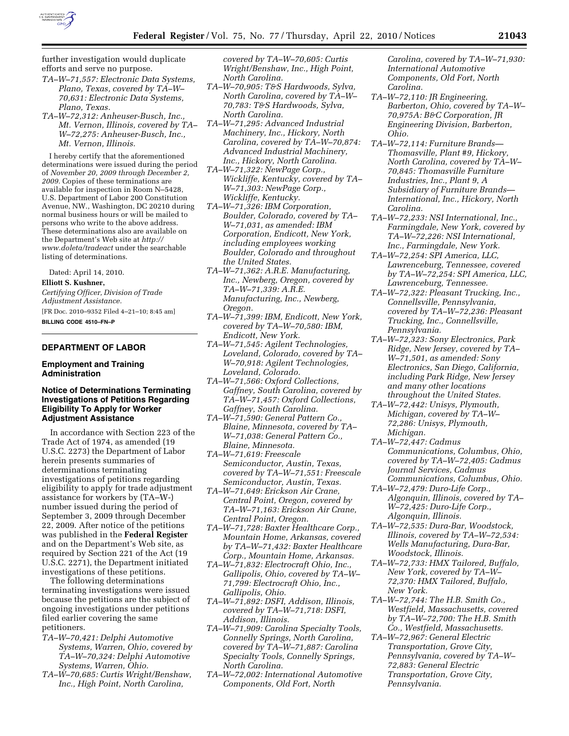

further investigation would duplicate efforts and serve no purpose.

- *TA–W–71,557: Electronic Data Systems, Plano, Texas, covered by TA–W– 70,631: Electronic Data Systems, Plano, Texas.*
- *TA–W–72,312: Anheuser-Busch, Inc., Mt. Vernon, Illinois, covered by TA– W–72,275: Anheuser-Busch, Inc., Mt. Vernon, Illinois.*

I hereby certify that the aforementioned determinations were issued during the period of *November 20, 2009 through December 2, 2009.* Copies of these terminations are available for inspection in Room N–5428, U.S. Department of Labor 200 Constitution Avenue, NW., Washington, DC 20210 during normal business hours or will be mailed to persons who write to the above address. These determinations also are available on the Department's Web site at *http:// www.doleta/tradeact* under the searchable listing of determinations.

Dated: April 14, 2010.

### **Elliott S. Kushner,**

*Certifying Officer, Division of Trade Adjustment Assistance.*  [FR Doc. 2010–9352 Filed 4–21–10; 8:45 am]

**BILLING CODE 4510–FN–P** 

### **DEPARTMENT OF LABOR**

### **Employment and Training Administration**

### **Notice of Determinations Terminating Investigations of Petitions Regarding Eligibility To Apply for Worker Adjustment Assistance**

In accordance with Section 223 of the Trade Act of 1974, as amended (19 U.S.C. 2273) the Department of Labor herein presents summaries of determinations terminating investigations of petitions regarding eligibility to apply for trade adjustment assistance for workers by (TA–W-) number issued during the period of September 3, 2009 through December 22, 2009. After notice of the petitions was published in the **Federal Register**  and on the Department's Web site, as required by Section 221 of the Act (19 U.S.C. 2271), the Department initiated investigations of these petitions.

The following determinations terminating investigations were issued because the petitions are the subject of ongoing investigations under petitions filed earlier covering the same petitioners.

- *TA–W–70,421: Delphi Automotive Systems, Warren, Ohio, covered by TA–W–70,324: Delphi Automotive Systems, Warren, Ohio.*
- *TA–W–70,685: Curtis Wright/Benshaw, Inc., High Point, North Carolina,*

*covered by TA–W–70,605: Curtis Wright/Benshaw, Inc., High Point, North Carolina.* 

- *TA–W–70,905: T&S Hardwoods, Sylva, North Carolina, covered by TA–W– 70,783: T&S Hardwoods, Sylva, North Carolina.*
- *TA–W–71,295: Advanced Industrial Machinery, Inc., Hickory, North Carolina, covered by TA–W–70,874: Advanced Industrial Machinery, Inc., Hickory, North Carolina.*
- *TA–W–71,322: NewPage Corp., Wickliffe, Kentucky, covered by TA– W–71,303: NewPage Corp., Wickliffe, Kentucky.*
- *TA–W–71,326: IBM Corporation, Boulder, Colorado, covered by TA– W–71,031, as amended: IBM Corporation, Endicott, New York, including employees working Boulder, Colorado and throughout the United States.*
- *TA–W–71,362: A.R.E. Manufacturing, Inc., Newberg, Oregon, covered by TA–W–71,339: A.R.E. Manufacturing, Inc., Newberg, Oregon.*
- *TA–W–71,399: IBM, Endicott, New York, covered by TA–W–70,580: IBM, Endicott, New York.*
- *TA–W–71,545: Agilent Technologies, Loveland, Colorado, covered by TA– W–70,918: Agilent Technologies, Loveland, Colorado.*
- *TA–W–71,566: Oxford Collections, Gaffney, South Carolina, covered by TA–W–71,457: Oxford Collections, Gaffney, South Carolina.*
- *TA–W–71,590: General Pattern Co., Blaine, Minnesota, covered by TA– W–71,038: General Pattern Co., Blaine, Minnesota.*
- *TA–W–71,619: Freescale Semiconductor, Austin, Texas, covered by TA–W–71,551: Freescale Semiconductor, Austin, Texas.*
- *TA–W–71,649: Erickson Air Crane, Central Point, Oregon, covered by TA–W–71,163: Erickson Air Crane, Central Point, Oregon.*
- *TA–W–71,728: Baxter Healthcare Corp., Mountain Home, Arkansas, covered by TA–W–71,432: Baxter Healthcare Corp., Mountain Home, Arkansas.*
- *TA–W–71,832: Electrocraft Ohio, Inc., Gallipolis, Ohio, covered by TA–W– 71,799: Electrocraft Ohio, Inc., Gallipolis, Ohio.*
- *TA–W–71,892: DSFI, Addison, Illinois, covered by TA–W–71,718: DSFI, Addison, Illinois.*
- *TA–W–71,909: Carolina Specialty Tools, Connelly Springs, North Carolina, covered by TA–W–71,887: Carolina Specialty Tools, Connelly Springs, North Carolina.*
- *TA–W–72,002: International Automotive Components, Old Fort, North*

*Carolina, covered by TA–W–71,930: International Automotive Components, Old Fort, North Carolina.* 

- *TA–W–72,110: JR Engineering, Barberton, Ohio, covered by TA–W– 70,975A: B&C Corporation, JR Engineering Division, Barberton, Ohio.*
- *TA–W–72,114: Furniture Brands— Thomasville, Plant #9, Hickory, North Carolina, covered by TA–W– 70,845: Thomasville Furniture Industries, Inc., Plant 9, A Subsidiary of Furniture Brands— International, Inc., Hickory, North Carolina.*
- *TA–W–72,233: NSI International, Inc., Farmingdale, New York, covered by TA–W–72,226: NSI International, Inc., Farmingdale, New York.*
- *TA–W–72,254: SPI America, LLC, Lawrenceburg, Tennessee, covered by TA–W–72,254: SPI America, LLC, Lawrenceburg, Tennessee.*
- *TA–W–72,322: Pleasant Trucking, Inc., Connellsville, Pennsylvania, covered by TA–W–72,236: Pleasant Trucking, Inc., Connellsville, Pennsylvania.*
- *TA–W–72,323: Sony Electronics, Park Ridge, New Jersey, covered by TA– W–71,501, as amended: Sony Electronics, San Diego, California, including Park Ridge, New Jersey and many other locations throughout the United States.*
- *TA–W–72,442: Unisys, Plymouth, Michigan, covered by TA–W– 72,286: Unisys, Plymouth, Michigan.*
- *TA–W–72,447: Cadmus Communications, Columbus, Ohio, covered by TA–W–72,405: Cadmus Journal Services, Cadmus Communications, Columbus, Ohio.*
- *TA–W–72,479: Duro-Life Corp., Algonquin, Illinois, covered by TA– W–72,425: Duro-Life Corp., Algonquin, Illinois.*
- *TA–W–72,535: Dura-Bar, Woodstock, Illinois, covered by TA–W–72,534: Wells Manufacturing, Dura-Bar, Woodstock, Illinois.*
- *TA–W–72,733: HMX Tailored, Buffalo, New York, covered by TA–W– 72,370: HMX Tailored, Buffalo, New York.*
- *TA–W–72,744: The H.B. Smith Co., Westfield, Massachusetts, covered by TA–W–72,700: The H.B. Smith Co., Westfield, Massachusetts.*
- *TA–W–72,967: General Electric Transportation, Grove City, Pennsylvania, covered by TA–W– 72,883: General Electric Transportation, Grove City, Pennsylvania.*